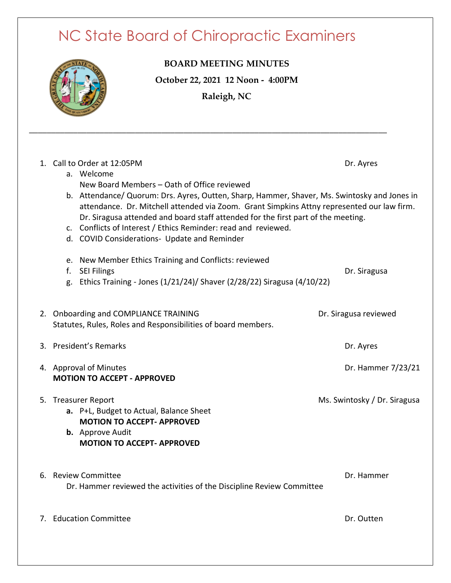## NC State Board of Chiropractic Examiners

**\_\_\_\_\_\_\_\_\_\_\_\_\_\_\_\_\_\_\_\_\_\_\_\_\_\_\_\_\_\_\_\_\_\_\_\_\_\_\_\_\_\_\_\_\_\_\_\_\_\_\_\_\_\_\_\_\_\_\_\_\_\_\_\_\_\_\_\_\_\_\_\_\_\_\_\_\_\_\_\_\_**



**BOARD MEETING MINUTES October 22, 2021 12 Noon - 4:00PM Raleigh, NC**

| 1. Call to Order at 12:05PM                                                                  | Dr. Ayres             |  |
|----------------------------------------------------------------------------------------------|-----------------------|--|
| a. Welcome                                                                                   |                       |  |
| New Board Members - Oath of Office reviewed                                                  |                       |  |
| b. Attendance/ Quorum: Drs. Ayres, Outten, Sharp, Hammer, Shaver, Ms. Swintosky and Jones in |                       |  |
| attendance. Dr. Mitchell attended via Zoom. Grant Simpkins Attny represented our law firm.   |                       |  |
| Dr. Siragusa attended and board staff attended for the first part of the meeting.            |                       |  |
| c. Conflicts of Interest / Ethics Reminder: read and reviewed.                               |                       |  |
| d. COVID Considerations- Update and Reminder                                                 |                       |  |
|                                                                                              |                       |  |
| e. New Member Ethics Training and Conflicts: reviewed                                        |                       |  |
| <b>SEI Filings</b><br>f.                                                                     | Dr. Siragusa          |  |
| Ethics Training - Jones (1/21/24)/ Shaver (2/28/22) Siragusa (4/10/22)<br>g.                 |                       |  |
|                                                                                              |                       |  |
| 2. Onboarding and COMPLIANCE TRAINING                                                        | Dr. Siragusa reviewed |  |
| Statutes, Rules, Roles and Responsibilities of board members.                                |                       |  |
|                                                                                              |                       |  |
| 3. President's Remarks                                                                       | Dr. Ayres             |  |
|                                                                                              |                       |  |
| 4. Approval of Minutes                                                                       | Dr. Hammer 7/23/21    |  |
| <b>MOTION TO ACCEPT - APPROVED</b>                                                           |                       |  |
| 5. Treasurer Report<br>Ms. Swintosky / Dr. Siragusa                                          |                       |  |
| a. P+L, Budget to Actual, Balance Sheet                                                      |                       |  |
| <b>MOTION TO ACCEPT- APPROVED</b>                                                            |                       |  |
| <b>b.</b> Approve Audit                                                                      |                       |  |
| <b>MOTION TO ACCEPT- APPROVED</b>                                                            |                       |  |
|                                                                                              |                       |  |
|                                                                                              |                       |  |
| 6. Review Committee                                                                          | Dr. Hammer            |  |
| Dr. Hammer reviewed the activities of the Discipline Review Committee                        |                       |  |
|                                                                                              |                       |  |
| 7. Education Committee                                                                       | Dr. Outten            |  |
|                                                                                              |                       |  |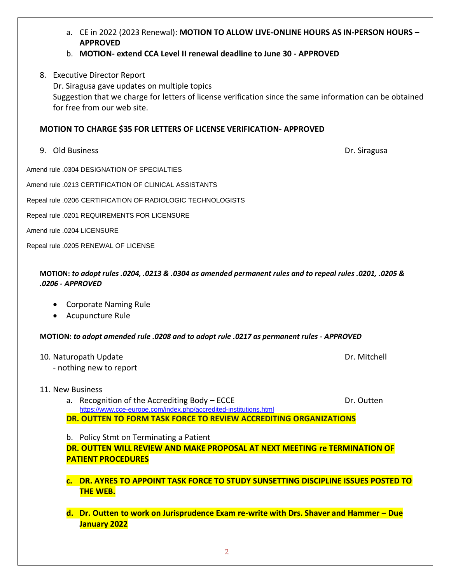- a. CE in 2022 (2023 Renewal): **MOTION TO ALLOW LIVE-ONLINE HOURS AS IN-PERSON HOURS – APPROVED** b. **MOTION- extend CCA Level II renewal deadline to June 30 - APPROVED** 8. Executive Director Report Dr. Siragusa gave updates on multiple topics Suggestion that we charge for letters of license verification since the same information can be obtained for free from our web site. **MOTION TO CHARGE \$35 FOR LETTERS OF LICENSE VERIFICATION- APPROVED** 9. Old Business Dr. Siragusa Amend rule .0304 DESIGNATION OF SPECIALTIES Amend rule .0213 CERTIFICATION OF CLINICAL ASSISTANTS Repeal rule .0206 CERTIFICATION OF RADIOLOGIC TECHNOLOGISTS Repeal rule .0201 REQUIREMENTS FOR LICENSURE Amend rule .0204 LICENSURE Repeal rule .0205 RENEWAL OF LICENSE **MOTION:** *to adopt rules .0204, .0213 & .0304 as amended permanent rules and to repeal rules .0201, .0205 & .0206 - APPROVED* • Corporate Naming Rule
	- Acupuncture Rule

**MOTION:** *to adopt amended rule .0208 and to adopt rule .0217 as permanent rules - APPROVED*

- 10. Naturopath Update **Dr. Mitchell** 
	- nothing new to report
- 11. New Business
	- a. Recognition of the Accrediting Body ECCE **Dr.** Dr. Outten <https://www.cce-europe.com/index.php/accredited-institutions.html> **DR. OUTTEN TO FORM TASK FORCE TO REVIEW ACCREDITING ORGANIZATIONS**

b. Policy Stmt on Terminating a Patient **DR. OUTTEN WILL REVIEW AND MAKE PROPOSAL AT NEXT MEETING re TERMINATION OF PATIENT PROCEDURES**

- **c. DR. AYRES TO APPOINT TASK FORCE TO STUDY SUNSETTING DISCIPLINE ISSUES POSTED TO THE WEB.**
- **d. Dr. Outten to work on Jurisprudence Exam re-write with Drs. Shaver and Hammer – Due January 2022**